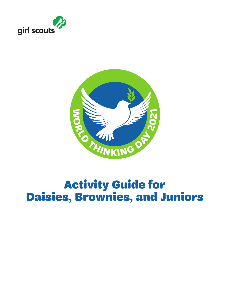



# Activity Guide for Daisies, Brownies, and Juniors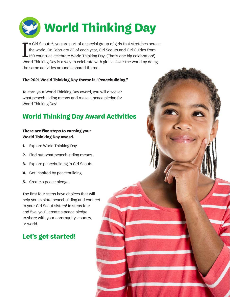

I n Girl Scouts®, you are part of a special group of girls that stretches across the world. On February 22 of each year, Girl Scouts and Girl Guides from 150 countries celebrate World Thinking Day. (That's one big celebration!) World Thinking Day is a way to celebrate with girls all over the world by doing the same activities around a shared theme.

#### **The 2021 World Thinking Day theme is "Peacebuilding."**

To earn your World Thinking Day award, you will discover what peacebuilding means and make a peace pledge for World Thinking Day!

# **World Thinking Day Award Activities**

#### **There are five steps to earning your World Thinking Day award.**

- **1.** Explore World Thinking Day.
- **2.** Find out what peacebuilding means.
- **3.** Explore peacebuilding in Girl Scouts.
- **4.** Get inspired by peacebuilding.
- **5.** Create a peace pledge.

The first four steps have choices that will help you explore peacebuilding and connect to your Girl Scout sisters! In steps four and five, you'll create a peace pledge to share with your community, country, or world.

2

# **Let's get started!**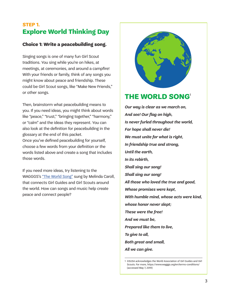### **STEP 1. Explore World Thinking Day**

#### **Choice 1: Write a peacebuilding song.**

Singing songs is one of many fun Girl Scout traditions. You sing while you're on hikes, at meetings, at ceremonies, and around a campfire! With your friends or family, think of any songs you might know about peace and friendship. These could be Girl Scout songs, like "Make New Friends," or other songs.

Then, brainstorm what peacebuilding means to you. If you need ideas, you might think about words like "peace," "trust," "bringing together," "harmony," or "calm" and the ideas they represent. You can also look at the definition for peacebuilding in the glossary at the end of this packet.

Once you've defined peacebuilding for yourself, choose a few words from your definition or the words listed above and create a song that includes those words.

If you need more ideas, try listening to the WAGGGS's ["The World Song"](https://www.youtube.com/watch?v=1gKXt2s5pNw) sung by Melinda Caroll, that connects Girl Guides and Girl Scouts around the world. How can songs and music help create peace and connect people?



# **THE WORLD SONG**<sup>1</sup>

*Our way is clear as we march on, And see! Our flag on high, Is never furled throughout the world, For hope shall never die! We must unite for what is right, In friendship true and strong, Until the earth, In its rebirth, Shall sing our song! Shall sing our song! All those who loved the true and good, Whose promises were kept, With humble mind, whose acts were kind, whose honor never slept; These were the free! And we must be, Prepared like them to live, To give to all, Both great and small, All we can give.*

<sup>1</sup> GSUSA acknowledges the World Association of Girl Guides and Girl Scouts. For more, https://www.wagggs.org/en/terms-conditions/ (accessed May 7, 2019)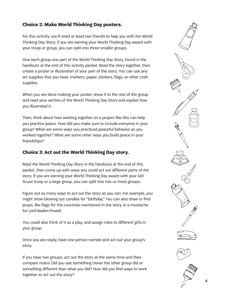#### **Choice 2: Make World Thinking Day posters.**

For this activity, you'll need at least two friends to help you with the World Thinking Day Story. If you are earning your World Thinking Day award with your troop or group, you can split into three smaller groups.

Give each group one part of the World Thinking Day Story, found in the handouts at the end of this activity packet. Read the story together, then create a poster or illustration of your part of the story. You can use any art supplies that you have: markers, paper, stickers, flags, or other craft supplies.

When you are done making your poster, show it to the rest of the group and read your section of the World Thinking Day Story and explain how you illustrated it.

Then, think about how working together on a project like this can help you practice peace. How did you make sure to include everyone in your group? What are some ways you practiced peaceful behavior as you worked together? What are some other ways you build peace in your friendships?

#### **Choice 3: Act out the World Thinking Day story.**

Read the World Thinking Day Story in the handouts at the end of this packet, then come up with ways you could act out different parts of the story. If you are earning your World Thinking Day award with your Girl Scout troop or a large group, you can split into two or more groups.

Figure out as many ways to act out the story as you can. For example, you might show blowing out candles for "birthday." You can also draw or find props, like flags for the countries mentioned in the story or a mustache for Lord Baden-Powell.

You could also think of it as a play, and assign roles to different girls in your group.

Once you are ready, have one person narrate and act out your group's story.

If you have two groups, act out the story at the same time and then compare notes! Did you see something clever the other group did or something different than what you did? How did you find ways to work together to act out the story?

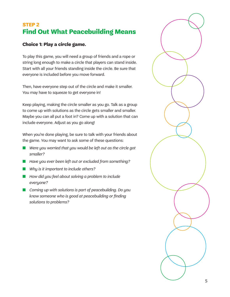# **STEP 2 Find Out What Peacebuilding Means**

#### **Choice 1: Play a circle game.**

To play this game, you will need a group of friends and a rope or string long enough to make a circle that players can stand inside. Start with all your friends standing inside the circle. Be sure that everyone is included before you move forward.

Then, have everyone step out of the circle and make it smaller. You may have to squeeze to get everyone in!

Keep playing, making the circle smaller as you go. Talk as a group to come up with solutions as the circle gets smaller and smaller. Maybe you can all put a foot in? Come up with a solution that can include everyone. Adjust as you go along!

When you're done playing, be sure to talk with your friends about the game. You may want to ask some of these questions:

- Were you worried that you would be left out as the circle got *smaller?*
- *Have you ever been left out or excluded from something?*
- *Why is it important to include others?*
- *How did you feel about solving a problem to include everyone?*
- *Coming up with solutions is part of peacebuilding. Do you know someone who is good at peacebuilding or finding solutions to problems?*

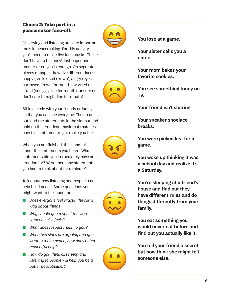#### **Choice 2: Take part in a peacemaker face-off.**

Observing and listening are very important tools in peacemaking. For this activity, you'll need to make five face masks. These don't have to be fancy! Just paper and a marker or crayon is enough. On separate pieces of paper, draw five different faces: happy (smile), sad (frown), angry (eyes narrowed, frown for mouth), worried or afraid (squiggly line for mouth), unsure or don't care (straight line for mouth).

Sit in a circle with your friends or family so that you can see everyone. Then read out loud the statements in the sidebar and hold up the emoticon mask that matches how this statement might make you feel.

When you are finished, think and talk about the statements you heard. What statements did you immediately have an emotion for? Were there any statements you had to think about for a minute?

Talk about how listening and respect can help build peace. Some questions you might want to talk about are:

- *Does everyone feel exactly the same way about things?*
- *Why should you respect the way someone else feels?*
- *What does respect mean to you?*
- *When two sides are arguing and you want to make peace, how does being respectful help?*
- *How do you think observing and listening to people will help you be a better peacebuilder?*



**You lose at a game.**

**Your sister calls you a name.**

**Your mom bakes your favorite cookies.**

**You see something funny on TV.**

**Your friend isn't sharing.**

**Your sneaker shoelace breaks.**

**You were picked last for a game.**

**You woke up thinking it was a school day and realize it's a Saturday.**

**You're sleeping at a friend's house and find out they have different rules and do things differently from your family.**

**You eat something you would never eat before and find out you actually like it.**

**You tell your friend a secret but now think she might tell someone else.**



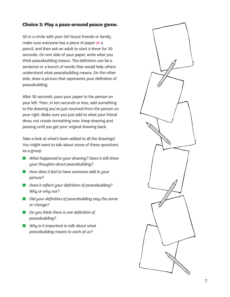#### **Choice 3: Play a pass-around peace game.**

Sit in a circle with your Girl Scout friends or family, make sure everyone has a piece of paper or a pencil, and then ask an adult to start a timer for 30 seconds. On one side of your paper, write what you think peacebuilding means. The definition can be a sentence or a bunch of words that would help others understand what peacebuilding means. On the other side, draw a picture that represents your definition of peacebuilding.

After 30 seconds, pass your paper to the person on your left. Then, in ten seconds or less, add something to the drawing you've just received from the person on your right. Make sure you just add to what your friend drew, not create something new. Keep drawing and passing until you get your original drawing back.

Take a look at what's been added to all the drawings! You might want to talk about some of these questions as a group:

- *What happened to your drawing? Does it still show your thoughts about peacebuilding?*
- *How does it feel to have someone add to your picture?*
- *Does it reflect your definition of peacebuilding? Why or why not?*
- *Did your definition of peacebuilding stay the same or change?*
- *Do you think there is one definition of peacebuilding?*
- *Why is it important to talk about what peacebuilding means to each of us?*

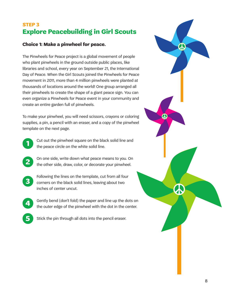# **STEP 3 Explore Peacebuilding in Girl Scouts**

#### **Choice 1: Make a pinwheel for peace.**

The Pinwheels for Peace project is a global movement of people who plant pinwheels in the ground outside public places, like libraries and school, every year on September 21, the International Day of Peace. When the Girl Scouts joined the Pinwheels for Peace movement in 2011, more than 4 million pinwheels were planted at thousands of locations around the world! One group arranged all their pinwheels to create the shape of a giant peace sign. You can even organize a Pinwheels for Peace event in your community and create an entire garden full of pinwheels.

To make your pinwheel, you will need scissors, crayons or coloring supplies, a pin, a pencil with an eraser, and a copy of the pinwheel template on the next page.



**2**

Cut out the pinwheel square on the black solid line and the peace circle on the white solid line.

On one side, write down what peace means to you. On the other side, draw, color, or decorate your pinwheel.

**3**

**4**

**5**

Following the lines on the template, cut from all four corners on the black solid lines, leaving about two inches of center uncut.

Gently bend (don't fold) the paper and line up the dots on the outer edge of the pinwheel with the dot in the center.

Stick the pin through all dots into the pencil eraser.

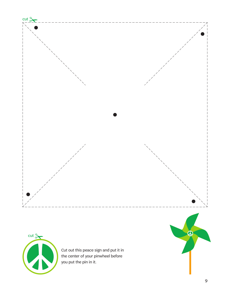



Cut out this peace sign and put it in the center of your pinwheel before you put the pin in it.

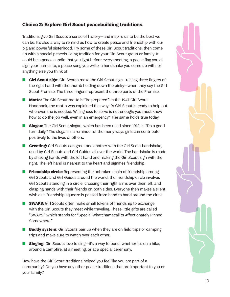#### **Choice 2: Explore Girl Scout peacebuilding traditions.**

Traditions give Girl Scouts a sense of history—and inspire us to be the best we can be. It's also a way to remind us how to create peace and friendship with our big and powerful sisterhood. Try some of these Girl Scout traditions, then come up with a special peacebuilding tradition for your Girl Scout group or family. It could be a peace candle that you light before every meeting, a peace flag you all sign your names to, a peace song you write, a handshake you come up with, or anything else you think of!

- **Girl Scout sign:** Girl Scouts make the Girl Scout sign—raising three fingers of the right hand with the thumb holding down the pinky—when they say the Girl Scout Promise. The three fingers represent the three parts of the Promise.
- **Motto:** The Girl Scout motto is "Be prepared." In the 1947 Girl Scout Handbook, the motto was explained this way: "A Girl Scout is ready to help out wherever she is needed. Willingness to serve is not enough; you must know how to do the job well, even in an emergency." The same holds true today.
- **Slogan:** The Girl Scout slogan, which has been used since 1912, is "Do a good turn daily." The slogan is a reminder of the many ways girls can contribute positively to the lives of others.
- **Greeting:** Girl Scouts can greet one another with the Girl Scout handshake, used by Girl Scouts and Girl Guides all over the world. The handshake is made by shaking hands with the left hand and making the Girl Scout sign with the right. The left hand is nearest to the heart and signifies friendship.
- **Friendship circle:** Representing the unbroken chain of friendship among Girl Scouts and Girl Guides around the world, the friendship circle involves Girl Scouts standing in a circle, crossing their right arms over their left, and clasping hands with their friends on both sides. Everyone then makes a silent wish as a friendship squeeze is passed from hand to hand around the circle.
- **SWAPS:** Girl Scouts often make small tokens of friendship to exchange with the Girl Scouts they meet while traveling. These little gifts are called "SWAPS," which stands for "Special Whatchamacallits Affectionately Pinned Somewhere."
- **Buddy system:** Girl Scouts pair up when they are on field trips or camping trips and make sure to watch over each other.
- **Singing:** Girl Scouts love to sing—it's a way to bond, whether it's on a hike, around a campfire, at a meeting, or at a special ceremony.

How have the Girl Scout traditions helped you feel like you are part of a community? Do you have any other peace traditions that are important to you or your family?

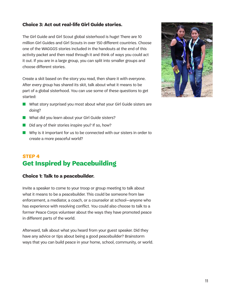#### **Choice 3: Act out real-life Girl Guide stories.**

The Girl Guide and Girl Scout global sisterhood is huge! There are 10 million Girl Guides and Girl Scouts in over 150 different countries. Choose one of the WAGGGS stories included in the handouts at the end of this activity packet and then read through it and think of ways you could act it out. If you are in a large group, you can split into smaller groups and choose different stories.

Create a skit based on the story you read, then share it with everyone. After every group has shared its skit, talk about what it means to be part of a global sisterhood. You can use some of these questions to get started:

- What story surprised you most about what your Girl Guide sisters are doing?
- What did you learn about your Girl Guide sisters?
- Did any of their stories inspire you? If so, how?
- Why is it important for us to be connected with our sisters in order to create a more peaceful world?

### **STEP 4 Get Inspired by Peacebuilding**

#### **Choice 1: Talk to a peacebuilder.**

Invite a speaker to come to your troop or group meeting to talk about what it means to be a peacebuilder. This could be someone from law enforcement, a mediator, a coach, or a counselor at school—anyone who has experience with resolving conflict. You could also choose to talk to a former Peace Corps volunteer about the ways they have promoted peace in different parts of the world.

Afterward, talk about what you heard from your guest speaker. Did they have any advice or tips about being a good peacebuilder? Brainstorm ways that you can build peace in your home, school, community, or world.

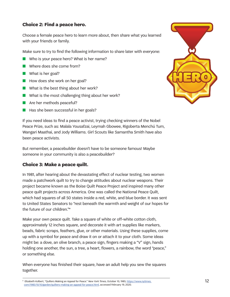#### **Choice 2: Find a peace hero.**

Choose a female peace hero to learn more about, then share what you learned with your friends or family.

Make sure to try to find the following information to share later with everyone:

- Who is your peace hero? What is her name?
- Where does she come from?
- What is her goal?
- How does she work on her goal?
- What is the best thing about her work?
- What is the most challenging thing about her work?
- Are her methods peaceful?
- Has she been successful in her goals?

If you need ideas to find a peace activist, trying checking winners of the Nobel Peace Prize, such as: Malala Yousafzai, Leymah Gbowee, Rigoberta Menchú Tum, Wangari Maathai, and Jody Williams. Girl Scouts like Samantha Smith have also been peace activists.

But remember, a peacebuilder doesn't have to be someone famous! Maybe someone in your community is also a peacebuilder?

#### **Choice 3: Make a peace quilt.**

In 1981, after hearing about the devastating effect of nuclear testing, two women made a patchwork quilt to try to change attitudes about nuclear weapons. Their project became known as the Boise Quilt Peace Project and inspired many other peace quilt projects across America. One was called the National Peace Quilt, which had squares of all 50 states inside a red, white, and blue border. It was sent to United States Senators to "rest beneath the warmth and weight of our hopes for the future of our children."\*

Make your own peace quilt. Take a square of white or off-white cotton cloth, approximately 12 inches square, and decorate it with art supplies like markers, beads, fabric scraps, feathers, glue, or other materials. Using these supplies, come up with a symbol for peace and draw it on or attach it to your cloth. Some ideas might be: a dove, an olive branch, a peace sign, fingers making a "V" sign, hands holding one another, the sun, a tree, a heart, flowers, a rainbow, the word "peace," or something else.

When everyone has finished their square, have an adult help you sew the squares together.



<sup>\*</sup> Elizabeth Kolbert, "Quilters Making an Appeal for Peace." *New York Times*, October 10, 1985, [https://www.nytimes.](https://www.nytimes.com/1985/10/10/garden/quilters-making-an-appeal-for-peace.html) [com/1985/10/10/garden/quilters-making-an-appeal-for-peace.html](https://www.nytimes.com/1985/10/10/garden/quilters-making-an-appeal-for-peace.html), accessed February 19, 2020.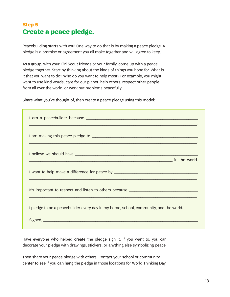# **Step 5 Create a peace pledge.**

Peacebuilding starts with you! One way to do that is by making a peace pledge. A pledge is a promise or agreement you all make together and will agree to keep.

As a group, with your Girl Scout friends or your family, come up with a peace pledge together. Start by thinking about the kinds of things you hope for. What is it that you want to do? Who do you want to help most? For example, you might want to use kind words, care for our planet, help others, respect other people from all over the world, or work out problems peacefully.

Share what you've thought of, then create a peace pledge using this model:

|                                                                                                                                                                                                                                      | ,我们也不会有什么。""我们的人,我们也不会有什么?""我们的人,我们也不会有什么?""我们的人,我们也不会有什么?""我们的人,我们也不会有什么?""我们的人                                                                                                                                                    |
|--------------------------------------------------------------------------------------------------------------------------------------------------------------------------------------------------------------------------------------|-------------------------------------------------------------------------------------------------------------------------------------------------------------------------------------------------------------------------------------|
| I believe we should have <b>should have a sense of the sense of the sense of the sense of the sense of the sense of the sense of the sense of the sense of the sense of the sense of the sense of the sense of the sense of the </b> | <b>Example 2018</b> The Contract of the Contract of the Contract of the Contract of the Contract of the Contract of the Contract of the Contract of the Contract of the Contract of the Contract of the Contract of the Contract of |
| I want to help make a difference for peace by __________________________________                                                                                                                                                     | ,我们也不能会在这里,我们也不能会在这里,我们也不能会在这里,我们也不能会在这里,我们也不能会在这里,我们也不能会在这里,我们也不能会在这里,我们也不能会在这里                                                                                                                                                    |
| It's important to respect and listen to others because __________________________                                                                                                                                                    |                                                                                                                                                                                                                                     |
| I pledge to be a peacebuilder every day in my home, school, community, and the world.                                                                                                                                                |                                                                                                                                                                                                                                     |
|                                                                                                                                                                                                                                      |                                                                                                                                                                                                                                     |

Have everyone who helped create the pledge sign it. If you want to, you can decorate your pledge with drawings, stickers, or anything else symbolizing peace.

Then share your peace pledge with others. Contact your school or community center to see if you can hang the pledge in those locations for World Thinking Day.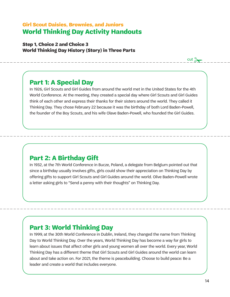### **Girl Scout Daisies, Brownies, and Juniors World Thinking Day Activity Handouts**

**Step 1, Choice 2 and Choice 3 World Thinking Day History (Story) in Three Parts**

### **Part 1: A Special Day**

In 1926, Girl Scouts and Girl Guides from around the world met in the United States for the 4th World Conference. At the meeting, they created a special day where Girl Scouts and Girl Guides think of each other and express their thanks for their sisters around the world. They called it Thinking Day. They chose February 22 because it was the birthday of both Lord Baden-Powell, the founder of the Boy Scouts, and his wife Olave Baden-Powell, who founded the Girl Guides.

# **Part 2: A Birthday Gift**

In 1932, at the 7th World Conference in Bucze, Poland, a delegate from Belgium pointed out that since a birthday usually involves gifts, girls could show their appreciation on Thinking Day by offering gifts to support Girl Scouts and Girl Guides around the world. Olive Baden-Powell wrote a letter asking girls to "Send a penny with their thoughts" on Thinking Day.

# **Part 3: World Thinking Day**

In 1999, at the 30th World Conference in Dublin, Ireland, they changed the name from Thinking Day to World Thinking Day. Over the years, World Thinking Day has become a way for girls to learn about issues that affect other girls and young women all over the world. Every year, World Thinking Day has a different theme that Girl Scouts and Girl Guides around the world can learn about and take action on. For 2021, the theme is peacebuilding. Choose to build peace: Be a leader and create a world that includes everyone.

 $cut<sub>2</sub>$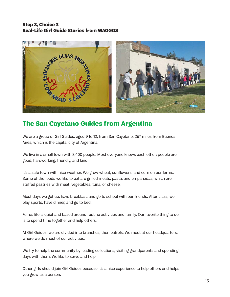#### **Step 3, Choice 3 Real-Life Girl Guide Stories from WAGGGS**



# **The San Cayetano Guides from Argentina**

We are a group of Girl Guides, aged 9 to 12, from San Cayetano, 267 miles from Buenos Aires, which is the capital city of Argentina.

We live in a small town with 8,400 people. Most everyone knows each other; people are good, hardworking, friendly, and kind.

It's a safe town with nice weather. We grow wheat, sunflowers, and corn on our farms. Some of the foods we like to eat are grilled meats, pasta, and empanadas, which are stuffed pastries with meat, vegetables, tuna, or cheese.

Most days we get up, have breakfast, and go to school with our friends. After class, we play sports, have dinner, and go to bed.

For us life is quiet and based around routine activities and family. Our favorite thing to do is to spend time together and help others.

At Girl Guides, we are divided into branches, then patrols. We meet at our headquarters, where we do most of our activities.

We try to help the community by leading collections, visiting grandparents and spending days with them. We like to serve and help.

Other girls should join Girl Guides because it's a nice experience to help others and helps you grow as a person.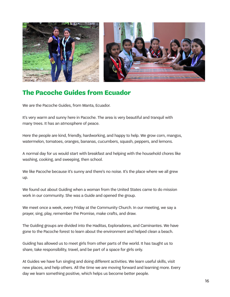

# **The Pacoche Guides from Ecuador**

We are the Pacoche Guides, from Manta, Ecuador.

It's very warm and sunny here in Pacoche. The area is very beautiful and tranquil with many trees. It has an atmosphere of peace.

Here the people are kind, friendly, hardworking, and happy to help. We grow corn, mangos, watermelon, tomatoes, oranges, bananas, cucumbers, squash, peppers, and lemons.

A normal day for us would start with breakfast and helping with the household chores like washing, cooking, and sweeping, then school.

We like Pacoche because it's sunny and there's no noise. It's the place where we all grew up.

We found out about Guiding when a woman from the United States came to do mission work in our community. She was a Guide and opened the group.

We meet once a week, every Friday at the Community Church. In our meeting, we say a prayer, sing, play, remember the Promise, make crafts, and draw.

The Guiding groups are divided into the Haditas, Exploradores, and Caminantes. We have gone to the Pacoche forest to learn about the environment and helped clean a beach.

Guiding has allowed us to meet girls from other parts of the world. It has taught us to share, take responsibility, travel, and be part of a space for girls only.

At Guides we have fun singing and doing different activities. We learn useful skills, visit new places, and help others. All the time we are moving forward and learning more. Every day we learn something positive, which helps us become better people.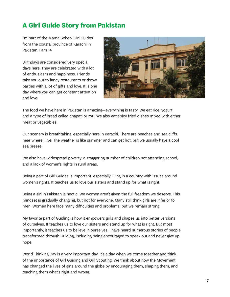# **A Girl Guide Story from Pakistan**

I'm part of the Mama School Girl Guides from the coastal province of Karachi in Pakistan. I am 14.

Birthdays are considered very special days here. They are celebrated with a lot of enthusiasm and happiness. Friends take you out to fancy restaurants or throw parties with a lot of gifts and love. It is one day where you can get constant attention and love!



The food we have here in Pakistan is amazing—everything is tasty. We eat rice, yogurt, and a type of bread called chapati or roti. We also eat spicy fried dishes mixed with either meat or vegetables.

Our scenery is breathtaking, especially here in Karachi. There are beaches and sea cliffs near where I live. The weather is like summer and can get hot, but we usually have a cool sea breeze.

We also have widespread poverty, a staggering number of children not attending school, and a lack of women's rights in rural areas.

Being a part of Girl Guides is important, especially living in a country with issues around women's rights. It teaches us to love our sisters and stand up for what is right.

Being a girl in Pakistan is hectic. We women aren't given the full freedom we deserve. This mindset is gradually changing, but not for everyone. Many still think girls are inferior to men. Women here face many difficulties and problems, but we remain strong.

My favorite part of Guiding is how it empowers girls and shapes us into better versions of ourselves. It teaches us to love our sisters and stand up for what is right. But most importantly, it teaches us to believe in ourselves. I have heard numerous stories of people transformed through Guiding, including being encouraged to speak out and never give up hope.

World Thinking Day is a very important day. It's a day when we come together and think of the importance of Girl Guiding and Girl Scouting. We think about how the Movement has changed the lives of girls around the globe by encouraging them, shaping them, and teaching them what's right and wrong.